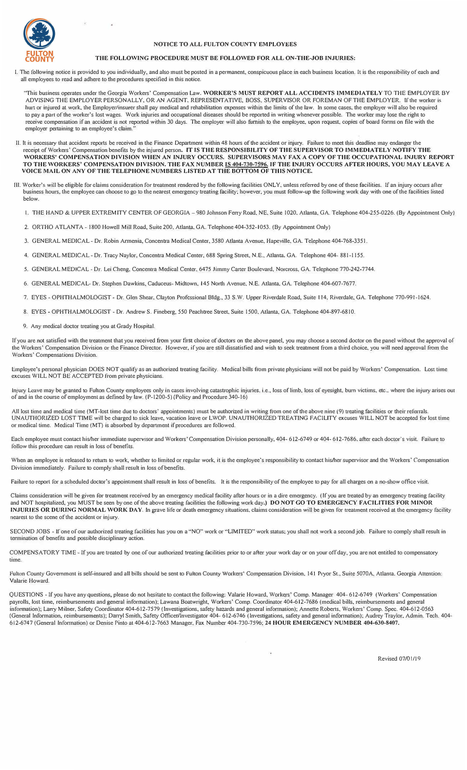

### **NOTICE TO ALL FULTON COUNTY EMPLOYEES**

#### **THE FOLLOWING PROCEDURE MUST BE FOLLOWED FOR ALL ON-THE-JOB INJURIES:**

I. The following notice is provided to you individually, and also must be posted in a pennanent, conspicuous place in each business location. It is the responsibility of each and all employees to read and adhere to the procedures specified in this notice.

"This business operates under the Georgia Workers' Compensation Law. **WORKER'S MUST REPORT ALL ACCIDENTS IMMEDIATELY** TO THE EMPLOYER BY ADVISING THE EMPLOYER PERSONALLY, OR AN AGENT. REPRESENTATIVE, BOSS. SUPERVISOR OR FOREMAN OF THE EMPLOYER. If the worker is lnut or injured at work, the Employer/insurer shall pay medical and rehabilitation expenses within the limits of the law. In some cases. the employer will also be required to pay a part of the worker's lost wages. Work injuries and occupational diseases should be reported in writing whenever possible. The worker may lose the right to receive compensation if an accident is not reported within 30 days. The employer will also furnish to the employee, upon request, copies of board forms on file with the employer pertaining to an employee's claim.

- II. It is necessaiy that accident reports be received in the Finance Department within 48 hours of the accident or injury. Failure to meet this deadline may endanger the receipt of Workers' Compensation benefits by the injured person. IT IS THE RESPONSIBILITY OF THE SUPERVISOR TO IMMEDIATELY NOTIFY THE<br>WORKERS' COMPENSATION DIVISION WHEN AN INJURY OCCURS. SUPERVISORS MAY FAX A COPY OF THE **TO THE WORKERS' COMPENSATION DIVISION. THE FAX NUMBER IS** 404-730-7596. **IF THE INJURY OCCURS AFTER HOURS, YOU MAY LEAVE A VOICE MAIL ON ANY OF THE TELEPHONE NUMBERS LISTED AT THE BOTTOM OF THIS NOTICE.**
- III. Worker's will be eligible for claims consideration for treatment rendered by the following facilities ONLY, unless referred by one of these facilities. If an injury occurs after business hours, the employee can choose to go to the nearest emergency treating facility; however, you must follow-up the following work day with one of the facilities listed below.
	- I. THE HAND & UPPER EXTREMITY CENTER OF GEORGIA-980 Johnson Ferry Road. NE, Suite 1020. Atlanta. GA. Telephone 404-255-0226. (By Appointment Only)
	- 2. ORTHO ATLANTA 1800 Howell Mill Road, Suite 200, Atlanta. GA. Telephone 404-352-1053. (By Appointment Only)
	- 3. GENERAL MEDICAL Dr. Robin Annenia, Concentra Medical Center, 3580 Atlanta Avenue. Hapeville, GA. Telephone 404-768-3351.
	- 4. GENERAL MEDICAL Dr. Tracy Naylor, Concentra Medical Center, 688 Spring Street, N.E.. Atlanta. GA. Telephone 404- 881-1155.
	- 5. GENERAL MEDICAL Dr. Lei Cheng, Concentra Medical Center, 6475 Jimmy Carter Boulevard, Norcross, GA. Telephone 770-242-7744.
	- 6. GENERAL MEDICAL- Dr. Stephen Dawkins, Caduceus- Midtown. 145 No1th Avenue. N.E. Atlanta. GA. Telephone 404-607-7677.
	- 7. EYES OPHTHALMOLOGIST- Dr. Glen Shear, Clayton Professional Bldg., 33 S.W. Upper Riverdale Road, Suite 114, Riverdale, GA. Telephone 770-991-1624.
	- 8. EYES OPHTHALMOLOGIST Dr. Andrew S. Fineberg, 550 Peachtree Street, Suite 1500, Atlanta, GA. Telephone 404-897-6810.
	- 9. Any medical doctor treating you at Grady Hospital.

If you are not satisfied with the treatment that you received from your first choice of doctors on the above panel, you may choose a second doctor on the panel without the approval of the Workers' Compensation Division or the Finance Director. However, if you are still dissatisfied and wish to seek treatment from a third choice, you will need approval from the Workers' Compensations Division.

Employee's personal physician DOES NOT qualify as an authorized treating facility. Medical bills from private physicians will not be paid by Workers' Compensation. Lost time excuses WILL NOT BE ACCEPTED from private physicians.

Injury Leave may be granted to Fulton County employees only in cases involving catastrophic injuries, i.e., loss of limb, loss of eyesight, burn victims, etc., where the injury arises out of and in the course of employment as defined by law. (P-1200-5) (Policy and Procedure 340-16)

All lost time and medical time (MT-lost time due to doctors' appointments) must be authorized in writing from one of the above nine (9) treating facilities or their referrals. UNAUTHORIZED LOST TIME will be charged to sick leave, vacation leave or LWOP. UNAUTHORIZED TREATING FACILITY excuses WILL NOT be accepted for lost time or medical time. Medical Time (MT) is absorbed by dcpmtment if procedures are followed.

Each employee must contact his/her immediate supervisor and Workers' Compensation Division personally, 404- 612-6749 or 404- 612-7686. after each doctor's visit. Failure to lollow this procedure can result in loss of benefits.

When an employee is released to return to work, whether to limited or regular work, it is the employee's responsibility to contact his/her supervisor and the Workers' Compensation Division immediately. Failure to comply shall result in loss of benefits.

Failure to report for a scheduled doctor's appointment shall result in loss of benefits. It is the responsibility of the employee to pay for all charges on a no-show office visit.

Claims consideration will be given for treatment received by an emergency medical facility after hours or in a dire emergency. (If you are treated by an emergency treating facility and NOT hospitalized, you MUST be seen by one of the above treating facilities the following work day.) **DO NOT GO TO EMERGENCY FACILITIES FOR MINOR INJURIES OR DURING NORMAL WORK DAY**. In grave life or death emergency situations, claims consideration will be given for treatment received at the emergency facility nearest to the scene of the accident or injury.

SECOND JOBS - If one of our authorized treating facilities has you on a "NO" work or "LIMITED" work status; you shall not work a second job. Failure to comply shall result in termination of benefits and possible disciplinary action.

COMPENSATORY TIME - If you are treated by one of our authorized treating facilities prior to or after your work day or on your off day, you are not entitled to compensatory time.

Fulton County Government is self-insured and all bills should be sent to Fulton County Workers' Compensation Division, 141 Pryor St., Suite 5070A, Atlanta. Georgia Attention: Valarie Howard.

QUESTIONS - If you have any questions, please do not hesitate to contact the following: Valalie Howard, Workers' Comp. Manager 404- 612-6 749 (Workers' Compensation payrolls, lost time, reimbursements and general infonnation); Lawana Boatwright, Workers' Comp. Coordinator 404-612-7686 (medical bills, reimbursements and general information); Larry Milner, Safety Coordinator 404-612-7579 (Investigations, safety hazards and general information); Annette Roberts, Workers' Comp. Spec. 404-612-0563 (General Information, reimbursements); Darryl Smith, Safety Officer/Investigator 404- 612-6746 (Investigations, safety and general information); Audrey Traylor, Admin. Tech. 404-612-674 7 (General lnfonnation) or Denise Pinto at 404-612-7663 Manager. Fax Number 404-730-7596; 24 **HOUR EM ERG ENCY NUMBER** 404-630-8407.

Revised 07/01/19